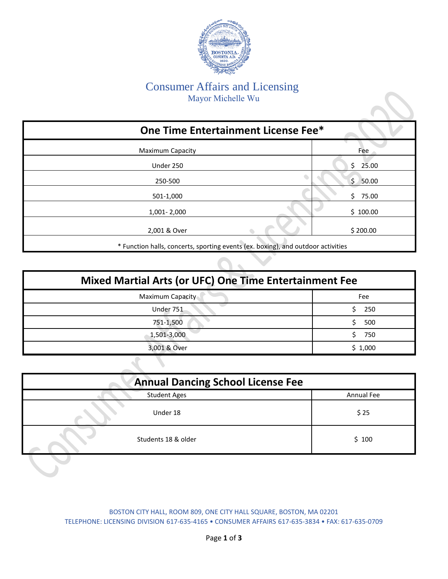

## Consumer Affairs and Licensing Mayor Michelle Wu

| One Time Entertainment License Fee*                                              |                  |
|----------------------------------------------------------------------------------|------------------|
| <b>Maximum Capacity</b>                                                          | Fee              |
| Under 250                                                                        | Ś.<br>25.00      |
| 250-500                                                                          | $\zeta$<br>50.00 |
| 501-1,000                                                                        | Ś.<br>75.00      |
| 1,001 - 2,000                                                                    | \$100.00         |
| 2,001 & Over                                                                     | \$200.00         |
| * Function halls, concerts, sporting events (ex. boxing), and outdoor activities |                  |

| <b>Mixed Martial Arts (or UFC) One Time Entertainment Fee</b> |         |  |
|---------------------------------------------------------------|---------|--|
| Maximum Capacity                                              | Fee     |  |
| Under 751                                                     | 250     |  |
| 751-1,500                                                     | 500     |  |
| 1,501-3,000                                                   | 750     |  |
| 3,001 & Over                                                  | \$1,000 |  |

 $\mathcal{L}$  $\overline{\mathcal{L}}$ 

| <b>Annual Dancing School License Fee</b> |            |  |
|------------------------------------------|------------|--|
| <b>Student Ages</b>                      | Annual Fee |  |
| Under 18                                 | \$25       |  |
| Students 18 & older                      | \$100      |  |

BOSTON CITY HALL, ROOM 809, ONE CITY HALL SQUARE, BOSTON, MA 02201 TELEPHONE: LICENSING DIVISION 617-635-4165 • CONSUMER AFFAIRS 617-635-3834 • FAX: 617-635-0709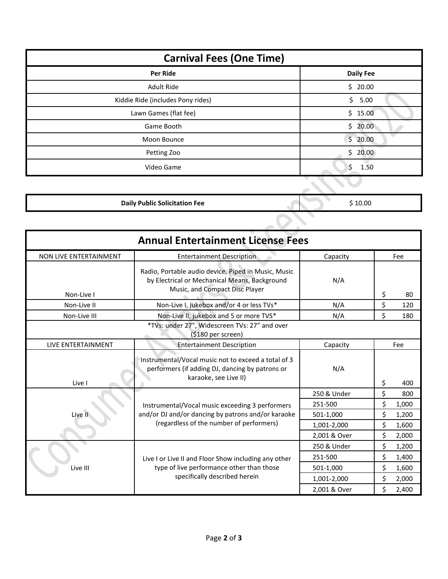| <b>Carnival Fees (One Time)</b>   |                    |  |
|-----------------------------------|--------------------|--|
| <b>Per Ride</b>                   | <b>Daily Fee</b>   |  |
| Adult Ride                        | \$20.00            |  |
| Kiddie Ride (includes Pony rides) | \$5.00             |  |
| Lawn Games (flat fee)             | \$15.00            |  |
| Game Booth                        | \$20.00            |  |
| Moon Bounce                       | \$20.00            |  |
| Petting Zoo                       | \$20.00            |  |
| Video Game                        | \$<br>1.50         |  |
|                                   | $\curvearrowright$ |  |

| \$10.00 |
|---------|
|         |
|         |

| <b>Annual Entertainment License Fees</b>                                                                      |                                                                                                                                        |              |       |       |
|---------------------------------------------------------------------------------------------------------------|----------------------------------------------------------------------------------------------------------------------------------------|--------------|-------|-------|
| <b>NON LIVE ENTERTAINMENT</b>                                                                                 | <b>Entertainment Description</b>                                                                                                       | Capacity     |       | Fee   |
| Non-Live I                                                                                                    | Radio, Portable audio device, Piped in Music, Music<br>by Electrical or Mechanical Means, Background<br>Music, and Compact Disc Player | N/A          | \$    | 80    |
| Non-Live II                                                                                                   | Non-Live I, jukebox and/or 4 or less TVs*                                                                                              | N/A          | \$    | 120   |
| Non-Live III                                                                                                  | Non-Live II, jukebox and 5 or more TVS*                                                                                                | N/A          | \$    | 180   |
|                                                                                                               | *TVs: under 27", Widescreen TVs: 27" and over<br>(\$180 per screen)                                                                    |              |       |       |
| LIVE ENTERTAINMENT                                                                                            | <b>Entertainment Description</b>                                                                                                       | Capacity     |       | Fee   |
| Live I                                                                                                        | Instrumental/Vocal music not to exceed a total of 3<br>performers (if adding DJ, dancing by patrons or<br>karaoke, see Live II)        | N/A          | \$    | 400   |
|                                                                                                               |                                                                                                                                        | 250 & Under  | \$    | 800   |
|                                                                                                               | Instrumental/Vocal music exceeding 3 performers                                                                                        | 251-500      | \$    | 1,000 |
| Live 1                                                                                                        | and/or DJ and/or dancing by patrons and/or karaoke                                                                                     | 501-1,000    | \$    | 1,200 |
| (regardless of the number of performers)                                                                      | 1,001-2,000                                                                                                                            | \$           | 1,600 |       |
|                                                                                                               | 2,001 & Over                                                                                                                           | \$           | 2,000 |       |
| Live I or Live II and Floor Show including any other<br>type of live performance other than those<br>Live III | 250 & Under                                                                                                                            | \$           | 1,200 |       |
|                                                                                                               |                                                                                                                                        | 251-500      | \$    | 1,400 |
|                                                                                                               |                                                                                                                                        | 501-1,000    | \$    | 1,600 |
|                                                                                                               | specifically described herein                                                                                                          | 1,001-2,000  | \$    | 2,000 |
|                                                                                                               |                                                                                                                                        | 2,001 & Over | Ś     | 2,400 |